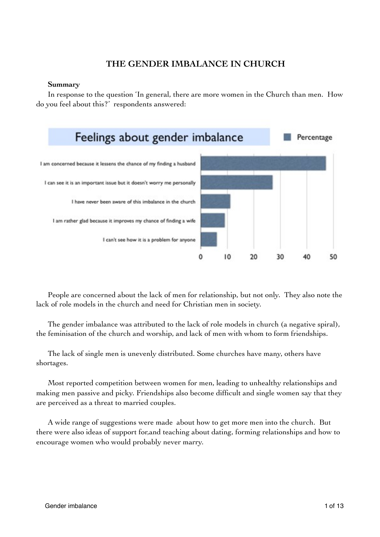# **THE GENDER IMBALANCE IN CHURCH**

### **Summary**

In response to the question 'In general, there are more women in the Church than men. How do you feel about this?' respondents answered:



People are concerned about the lack of men for relationship, but not only. They also note the lack of role models in the church and need for Christian men in society.

The gender imbalance was attributed to the lack of role models in church (a negative spiral), the feminisation of the church and worship, and lack of men with whom to form friendships.

The lack of single men is unevenly distributed. Some churches have many, others have shortages.

Most reported competition between women for men, leading to unhealthy relationships and making men passive and picky. Friendships also become difficult and single women say that they are perceived as a threat to married couples.

A wide range of suggestions were made about how to get more men into the church. But there were also ideas of support for,and teaching about dating, forming relationships and how to encourage women who would probably never marry.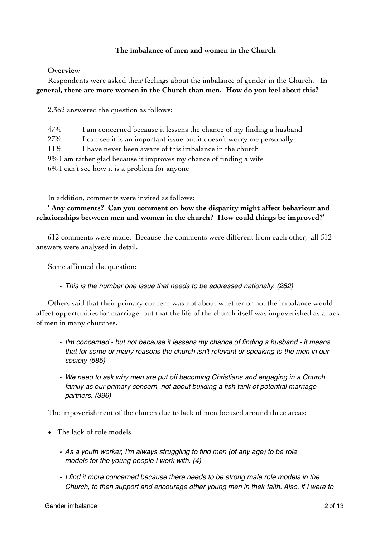# **The imbalance of men and women in the Church**

### **Overview**

Respondents were asked their feelings about the imbalance of gender in the Church. **In general, there are more women in the Church than men. How do you feel about this?** 

2,362 answered the question as follows:

47% I am concerned because it lessens the chance of my finding a husband 27% I can see it is an important issue but it doesn't worry me personally 11% I have never been aware of this imbalance in the church 9% I am rather glad because it improves my chance of finding a wife 6% I can't see how it is a problem for anyone

In addition, comments were invited as follows:

**' Any comments? Can you comment on how the disparity might affect behaviour and relationships between men and women in the church? How could things be improved?'**

612 comments were made. Because the comments were different from each other, all 612 answers were analysed in detail.

Some affirmed the question:

*• This is the number one issue that needs to be addressed nationally. (282)*

Others said that their primary concern was not about whether or not the imbalance would affect opportunities for marriage, but that the life of the church itself was impoverished as a lack of men in many churches.

- *• I'm concerned but not because it lessens my chance of finding a husband it means that for some or many reasons the church isn't relevant or speaking to the men in our society (585)*
- *• We need to ask why men are put off becoming Christians and engaging in a Church family as our primary concern, not about building a fish tank of potential marriage partners. (396)*

The impoverishment of the church due to lack of men focused around three areas:

- The lack of role models.
	- *• As a youth worker, I'm always struggling to find men (of any age) to be role models for the young people I work with. (4)*
	- *• I find it more concerned because there needs to be strong male role models in the Church, to then support and encourage other young men in their faith. Also, if I were to*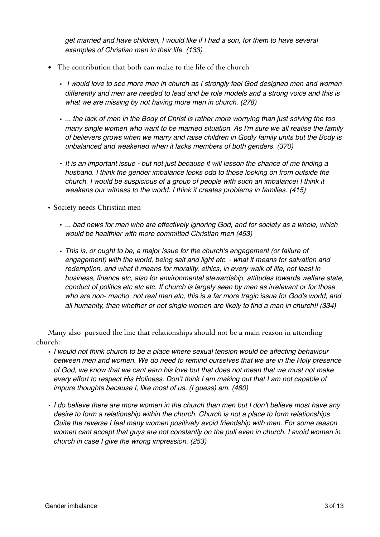*get married and have children, I would like if I had a son, for them to have several examples of Christian men in their life. (133)*

- The contribution that both can make to the life of the church
	- *I would love to see more men in church as I strongly feel God designed men and women differently and men are needed to lead and be role models and a strong voice and this is what we are missing by not having more men in church. (278)*
	- *• ... the lack of men in the Body of Christ is rather more worrying than just solving the too many single women who want to be married situation. As I'm sure we all realise the family of believers grows when we marry and raise children in Godly family units but the Body is unbalanced and weakened when it lacks members of both genders. (370)*
	- *• It is an important issue but not just because it will lesson the chance of me finding a husband. I think the gender imbalance looks odd to those looking on from outside the church. I would be suspicious of a group of people with such an imbalance! I think it weakens our witness to the world. I think it creates problems in families. (415)*
- Society needs Christian men
	- *• ... bad news for men who are effectively ignoring God, and for society as a whole, which would be healthier with more committed Christian men (453)*
	- *• This is, or ought to be, a major issue for the church's engagement (or failure of engagement) with the world, being salt and light etc. - what it means for salvation and redemption, and what it means for morality, ethics, in every walk of life, not least in business, finance etc, also for environmental stewardship, attitudes towards welfare state, conduct of politics etc etc etc. If church is largely seen by men as irrelevant or for those who are non- macho, not real men etc, this is a far more tragic issue for God's world, and all humanity, than whether or not single women are likely to find a man in church!! (334)*

Many also pursued the line that relationships should not be a main reason in attending church:

- *• I would not think church to be a place where sexual tension would be affecting behaviour between men and women. We do need to remind ourselves that we are in the Holy presence of God, we know that we cant earn his love but that does not mean that we must not make every effort to respect His Holiness. Don't think I am making out that I am not capable of impure thoughts because I, like most of us, (I guess) am. (480)*
- *• I do believe there are more women in the church than men but I don't believe most have any desire to form a relationship within the church. Church is not a place to form relationships. Quite the reverse I feel many women positively avoid friendship with men. For some reason women cant accept that guys are not constantly on the pull even in church. I avoid women in church in case I give the wrong impression. (253)*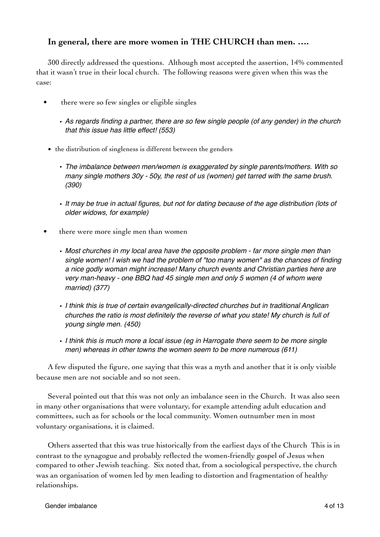# **In general, there are more women in THE CHURCH than men. ….**

300 directly addressed the questions. Although most accepted the assertion, 14% commented that it wasn't true in their local church. The following reasons were given when this was the case:

- there were so few singles or eligible singles
	- *• As regards finding a partner, there are so few single people (of any gender) in the church that this issue has little effect! (553)*
	- the distribution of singleness is different between the genders
		- *• The imbalance between men/women is exaggerated by single parents/mothers. With so many single mothers 30y - 50y, the rest of us (women) get tarred with the same brush. (390)*
		- *• It may be true in actual figures, but not for dating because of the age distribution (lots of older widows, for example)*
- there were more single men than women
	- *• Most churches in my local area have the opposite problem far more single men than single women! I wish we had the problem of "too many women" as the chances of finding a nice godly woman might increase! Many church events and Christian parties here are very man-heavy - one BBQ had 45 single men and only 5 women (4 of whom were married) (377)*
	- *• I think this is true of certain evangelically-directed churches but in traditional Anglican churches the ratio is most definitely the reverse of what you state! My church is full of young single men. (450)*
	- *• I think this is much more a local issue (eg in Harrogate there seem to be more single men) whereas in other towns the women seem to be more numerous (611)*

A few disputed the figure, one saying that this was a myth and another that it is only visible because men are not sociable and so not seen.

Several pointed out that this was not only an imbalance seen in the Church. It was also seen in many other organisations that were voluntary, for example attending adult education and committees, such as for schools or the local community. Women outnumber men in most voluntary organisations, it is claimed.

Others asserted that this was true historically from the earliest days of the Church This is in contrast to the synagogue and probably reflected the women-friendly gospel of Jesus when compared to other Jewish teaching. Six noted that, from a sociological perspective, the church was an organisation of women led by men leading to distortion and fragmentation of healthy relationships.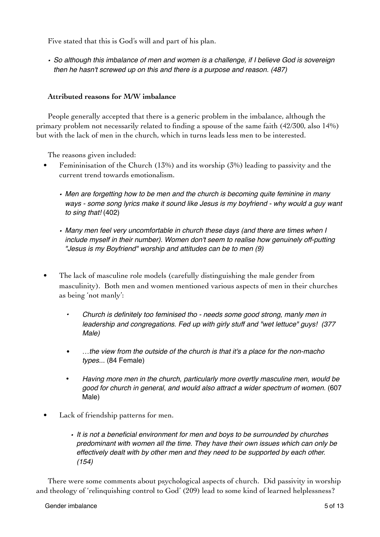Five stated that this is God's will and part of his plan.

*• So although this imbalance of men and women is a challenge, if I believe God is sovereign then he hasn't screwed up on this and there is a purpose and reason. (487)*

# **Attributed reasons for M/W imbalance**

People generally accepted that there is a generic problem in the imbalance, although the primary problem not necessarily related to finding a spouse of the same faith (42/300, also 14%) but with the lack of men in the church, which in turns leads less men to be interested.

The reasons given included:

- Femininisation of the Church  $(13%)$  and its worship  $(3%)$  leading to passivity and the current trend towards emotionalism.
	- *• Men are forgetting how to be men and the church is becoming quite feminine in many ways - some song lyrics make it sound like Jesus is my boyfriend - why would a guy want to sing that!* (402)
	- *• Many men feel very uncomfortable in church these days (and there are times when I include myself in their number). Women don't seem to realise how genuinely off-putting "Jesus is my Boyfriend" worship and attitudes can be to men (9)*
- The lack of masculine role models (carefully distinguishing the male gender from masculinity). Both men and women mentioned various aspects of men in their churches as being 'not manly':
	- *• Church is definitely too feminised tho needs some good strong, manly men in leadership and congregations. Fed up with girly stuff and "wet lettuce" guys! (377 Male)*
	- …*the view from the outside of the church is that it's a place for the non-macho types...* (84 Female)
	- *Having more men in the church, particularly more overtly masculine men, would be good for church in general, and would also attract a wider spectrum of women.* (607 Male)
- Lack of friendship patterns for men.
	- *• It is not a beneficial environment for men and boys to be surrounded by churches predominant with women all the time. They have their own issues which can only be effectively dealt with by other men and they need to be supported by each other. (154)*

There were some comments about psychological aspects of church. Did passivity in worship and theology of 'relinquishing control to God' (209) lead to some kind of learned helplessness?

#### Gender imbalance 5 of 13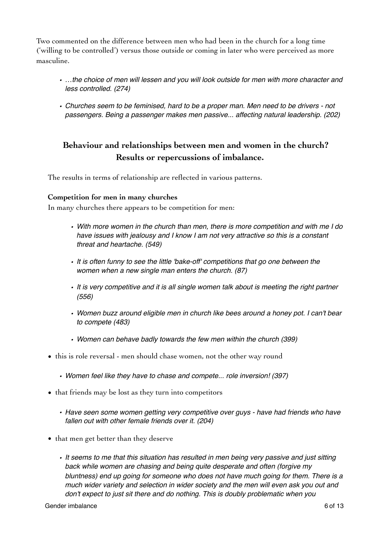Two commented on the difference between men who had been in the church for a long time ('willing to be controlled') versus those outside or coming in later who were perceived as more masculine.

- *• …the choice of men will lessen and you will look outside for men with more character and less controlled. (274)*
- *• Churches seem to be feminised, hard to be a proper man. Men need to be drivers not passengers. Being a passenger makes men passive... affecting natural leadership. (202)*

# **Behaviour and relationships between men and women in the church? Results or repercussions of imbalance.**

The results in terms of relationship are reflected in various patterns.

### **Competition for men in many churches**

In many churches there appears to be competition for men:

- *• With more women in the church than men, there is more competition and with me I do have issues with jealousy and I know I am not very attractive so this is a constant threat and heartache. (549)*
- *• It is often funny to see the little 'bake-off' competitions that go one between the women when a new single man enters the church. (87)*
- *• It is very competitive and it is all single women talk about is meeting the right partner (556)*
- *• Women buzz around eligible men in church like bees around a honey pot. I can't bear to compete (483)*
- *• Women can behave badly towards the few men within the church (399)*
- this is role reversal men should chase women, not the other way round
	- *• Women feel like they have to chase and compete... role inversion! (397)*
- that friends may be lost as they turn into competitors
	- *• Have seen some women getting very competitive over guys have had friends who have fallen out with other female friends over it. (204)*
- that men get better than they deserve
	- *• It seems to me that this situation has resulted in men being very passive and just sitting back while women are chasing and being quite desperate and often (forgive my bluntness) end up going for someone who does not have much going for them. There is a much wider variety and selection in wider society and the men will even ask you out and don't expect to just sit there and do nothing. This is doubly problematic when you*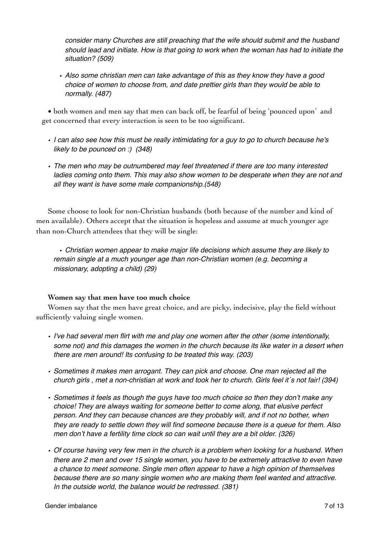*consider many Churches are still preaching that the wife should submit and the husband should lead and initiate. How is that going to work when the woman has had to initiate the situation? (509)*

*• Also some christian men can take advantage of this as they know they have a good choice of women to choose from, and date prettier girls than they would be able to normally. (487)*

• both women and men say that men can back off, be fearful of being 'pounced upon' and get concerned that every interaction is seen to be too significant.

- *• I can also see how this must be really intimidating for a guy to go to church because he's likely to be pounced on :) (348)*
- *• The men who may be outnumbered may feel threatened if there are too many interested ladies coming onto them. This may also show women to be desperate when they are not and all they want is have some male companionship.(548)*

Some choose to look for non-Christian husbands (both because of the number and kind of men available). Others accept that the situation is hopeless and assume at much younger age than non-Church attendees that they will be single:

*• Christian women appear to make major life decisions which assume they are likely to remain single at a much younger age than non-Christian women (e.g. becoming a missionary, adopting a child) (29)*

# **Women say that men have too much choice**

Women say that the men have great choice, and are picky, indecisive, play the field without sufficiently valuing single women.

- *• I've had several men flirt with me and play one women after the other (some intentionally,*  some not) and this damages the women in the church because its like water in a desert when *there are men around! Its confusing to be treated this way. (203)*
- *• Sometimes it makes men arrogant. They can pick and choose. One man rejected all the church girls , met a non-christian at work and took her to church. Girls feel it`s not fair! (394)*
- *• Sometimes it feels as though the guys have too much choice so then they don't make any choice! They are always waiting for someone better to come along, that elusive perfect person. And they can because chances are they probably will, and if not no bother, when they are ready to settle down they will find someone because there is a queue for them. Also men don't have a fertility time clock so can wait until they are a bit older. (326)*
- *• Of course having very few men in the church is a problem when looking for a husband. When there are 2 men and over 15 single women, you have to be extremely attractive to even have a chance to meet someone. Single men often appear to have a high opinion of themselves because there are so many single women who are making them feel wanted and attractive. In the outside world, the balance would be redressed. (381)*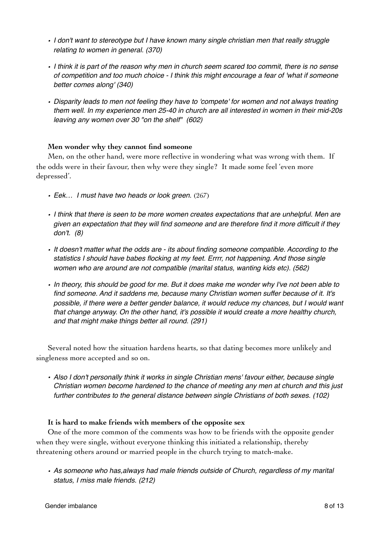- *• I don't want to stereotype but I have known many single christian men that really struggle relating to women in general. (370)*
- *• I think it is part of the reason why men in church seem scared too commit, there is no sense of competition and too much choice - I think this might encourage a fear of 'what if someone better comes along' (340)*
- *• Disparity leads to men not feeling they have to 'compete' for women and not always treating them well. In my experience men 25-40 in church are all interested in women in their mid-20s leaving any women over 30 "on the shelf" (602)*

# **Men wonder why they cannot find someone**

Men, on the other hand, were more reflective in wondering what was wrong with them. If the odds were in their favour, then why were they single? It made some feel 'even more depressed'.

- *• Eek… I must have two heads or look green*. (267)
- *• I think that there is seen to be more women creates expectations that are unhelpful. Men are given an expectation that they will find someone and are therefore find it more difficult if they don't. (8)*
- *• It doesn't matter what the odds are its about finding someone compatible. According to the statistics I should have babes flocking at my feet. Errrr, not happening. And those single women who are around are not compatible (marital status, wanting kids etc). (562)*
- *• In theory, this should be good for me. But it does make me wonder why I've not been able to find someone. And it saddens me, because many Christian women suffer because of it. It's possible, if there were a better gender balance, it would reduce my chances, but I would want that change anyway. On the other hand, it's possible it would create a more healthy church, and that might make things better all round. (291)*

Several noted how the situation hardens hearts, so that dating becomes more unlikely and singleness more accepted and so on.

*• Also I don't personally think it works in single Christian mens' favour either, because single Christian women become hardened to the chance of meeting any men at church and this just further contributes to the general distance between single Christians of both sexes. (102)*

### **It is hard to make friends with members of the opposite sex**

One of the more common of the comments was how to be friends with the opposite gender when they were single, without everyone thinking this initiated a relationship, thereby threatening others around or married people in the church trying to match-make.

*• As someone who has,always had male friends outside of Church, regardless of my marital status, I miss male friends. (212)*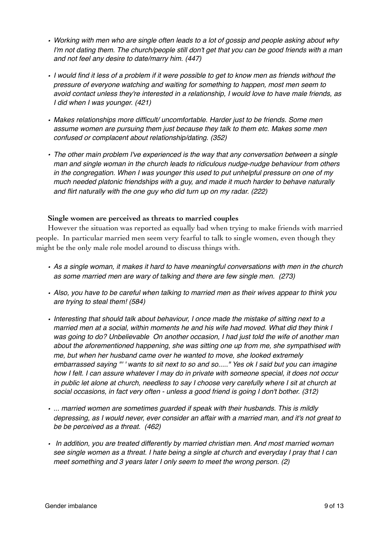- *• Working with men who are single often leads to a lot of gossip and people asking about why I'm not dating them. The church/people still don't get that you can be good friends with a man and not feel any desire to date/marry him. (447)*
- *• I would find it less of a problem if it were possible to get to know men as friends without the pressure of everyone watching and waiting for something to happen, most men seem to avoid contact unless they're interested in a relationship, I would love to have male friends, as I did when I was younger. (421)*
- *• Makes relationships more difficult/ uncomfortable. Harder just to be friends. Some men assume women are pursuing them just because they talk to them etc. Makes some men confused or complacent about relationship/dating. (352)*
- *• The other main problem I've experienced is the way that any conversation between a single man and single woman in the church leads to ridiculous nudge-nudge behaviour from others in the congregation. When I was younger this used to put unhelpful pressure on one of my much needed platonic friendships with a guy, and made it much harder to behave naturally and flirt naturally with the one guy who did turn up on my radar. (222)*

### **Single women are perceived as threats to married couples**

However the situation was reported as equally bad when trying to make friends with married people. In particular married men seem very fearful to talk to single women, even though they might be the only male role model around to discuss things with.

- *• As a single woman, it makes it hard to have meaningful conversations with men in the church as some married men are wary of talking and there are few single men. (273)*
- *• Also, you have to be careful when talking to married men as their wives appear to think you are trying to steal them! (584)*
- *• Interesting that should talk about behaviour, I once made the mistake of sitting next to a married men at a social, within moments he and his wife had moved. What did they think I was going to do? Unbelievable On another occasion, I had just told the wife of another man about the aforementioned happening, she was sitting one up from me, she sympathised with me, but when her husband came over he wanted to move, she looked extremely embarrassed saying "' ' wants to sit next to so and so....." Yes ok I said but you can imagine how I felt. I can assure whatever I may do in private with someone special, it does not occur*  in public let alone at church, needless to say I choose very carefully where I sit at church at *social occasions, in fact very often - unless a good friend is going I don't bother. (312)*
- *• ... married women are sometimes guarded if speak with their husbands. This is mildly depressing, as I would never, ever consider an affair with a married man, and it's not great to be be perceived as a threat. (462)*
- *In addition, you are treated differently by married christian men. And most married woman see single women as a threat. I hate being a single at church and everyday I pray that I can meet something and 3 years later I only seem to meet the wrong person. (2)*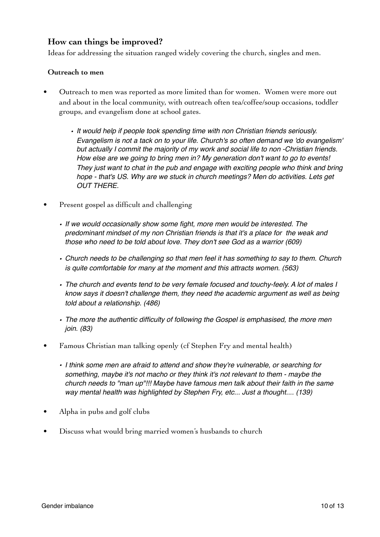# **How can things be improved?**

Ideas for addressing the situation ranged widely covering the church, singles and men.

### **Outreach to men**

- Outreach to men was reported as more limited than for women. Women were more out and about in the local community, with outreach often tea/coffee/soup occasions, toddler groups, and evangelism done at school gates.
	- *• It would help if people took spending time with non Christian friends seriously. Evangelism is not a tack on to your life. Church's so often demand we 'do evangelism' but actually I commit the majority of my work and social life to non -Christian friends. How else are we going to bring men in? My generation don't want to go to events! They just want to chat in the pub and engage with exciting people who think and bring hope - that's US. Why are we stuck in church meetings? Men do activities. Lets get OUT THERE.*
- Present gospel as difficult and challenging
	- *• If we would occasionally show some fight, more men would be interested. The predominant mindset of my non Christian friends is that it's a place for the weak and those who need to be told about love. They don't see God as a warrior (609)*
	- *• Church needs to be challenging so that men feel it has something to say to them. Church is quite comfortable for many at the moment and this attracts women. (563)*
	- *• The church and events tend to be very female focused and touchy-feely. A lot of males I know says it doesn't challenge them, they need the academic argument as well as being told about a relationship. (486)*
	- *• The more the authentic difficulty of following the Gospel is emphasised, the more men join. (83)*
- Famous Christian man talking openly (cf Stephen Fry and mental health)
	- *• I think some men are afraid to attend and show they're vulnerable, or searching for something, maybe it's not macho or they think it's not relevant to them - maybe the church needs to "man up"!!! Maybe have famous men talk about their faith in the same way mental health was highlighted by Stephen Fry, etc... Just a thought.... (139)*
- Alpha in pubs and golf clubs
- Discuss what would bring married women's husbands to church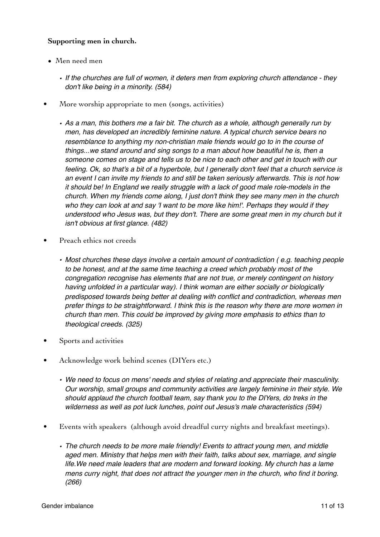# **Supporting men in church.**

- Men need men
	- *• If the churches are full of women, it deters men from exploring church attendance they don't like being in a minority. (584)*
- More worship appropriate to men (songs, activities)
	- *• As a man, this bothers me a fair bit. The church as a whole, although generally run by men, has developed an incredibly feminine nature. A typical church service bears no resemblance to anything my non-christian male friends would go to in the course of things...we stand around and sing songs to a man about how beautiful he is, then a someone comes on stage and tells us to be nice to each other and get in touch with our feeling. Ok, so that's a bit of a hyperbole, but I generally don't feel that a church service is an event I can invite my friends to and still be taken seriously afterwards. This is not how it should be! In England we really struggle with a lack of good male role-models in the church. When my friends come along, I just don't think they see many men in the church who they can look at and say 'I want to be more like him!'. Perhaps they would if they understood who Jesus was, but they don't. There are some great men in my church but it isn't obvious at first glance. (482)*
- Preach ethics not creeds
	- *• Most churches these days involve a certain amount of contradiction ( e.g. teaching people to be honest, and at the same time teaching a creed which probably most of the congregation recognise has elements that are not true, or merely contingent on history having unfolded in a particular way). I think woman are either socially or biologically predisposed towards being better at dealing with conflict and contradiction, whereas men prefer things to be straightforward. I think this is the reason why there are more women in church than men. This could be improved by giving more emphasis to ethics than to theological creeds. (325)*
- Sports and activities
- Acknowledge work behind scenes (DIYers etc.)
	- *• We need to focus on mens' needs and styles of relating and appreciate their masculinity. Our worship, small groups and community activities are largely feminine in their style. We should applaud the church football team, say thank you to the DIYers, do treks in the wilderness as well as pot luck lunches, point out Jesus's male characteristics (594)*
- Events with speakers (although avoid dreadful curry nights and breakfast meetings).
	- *• The church needs to be more male friendly! Events to attract young men, and middle aged men. Ministry that helps men with their faith, talks about sex, marriage, and single life.We need male leaders that are modern and forward looking. My church has a lame mens curry night, that does not attract the younger men in the church, who find it boring. (266)*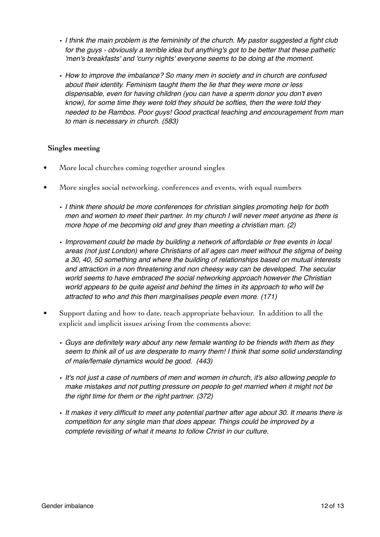- *• I think the main problem is the femininity of the church. My pastor suggested a fight club for the guys - obviously a terrible idea but anything's got to be better that these pathetic 'men's breakfasts' and 'curry nights' everyone seems to be doing at the moment.*
- *• How to improve the imbalance? So many men in society and in church are confused about their identity. Feminism taught them the lie that they were more or less dispensable, even for having children (you can have a sperm donor you don't even know), for some time they were told they should be softies, then the were told they needed to be Rambos. Poor guys! Good practical teaching and encouragement from man to man is necessary in church. (583)*

# **Singles meeting**

- More local churches coming together around singles
- More singles social networking, conferences and events, with equal numbers
	- *• I think there should be more conferences for christian singles promoting help for both men and women to meet their partner. In my church I will never meet anyone as there is more hope of me becoming old and grey than meeting a christian man. (2)*
	- *• Improvement could be made by building a network of affordable or free events in local areas (not just London) where Christians of all ages can meet without the stigma of being a 30, 40, 50 something and where the building of relationships based on mutual interests and attraction in a non threatening and non cheesy way can be developed. The secular world seems to have embraced the social networking approach however the Christian world appears to be quite ageist and behind the times in its approach to who will be attracted to who and this then marginalises people even more. (171)*
- Support dating and how to date, teach appropriate behaviour. In addition to all the explicit and implicit issues arising from the comments above:
	- *• Guys are definitely wary about any new female wanting to be friends with them as they seem to think all of us are desperate to marry them! I think that some solid understanding of male/female dynamics would be good. (443)*
	- *• It's not just a case of numbers of men and women in church, it's also allowing people to make mistakes and not putting pressure on people to get married when it might not be the right time for them or the right partner. (372)*
	- *• It makes it very difficult to meet any potential partner after age about 30. It means there is competition for any single man that does appear. Things could be improved by a complete revisiting of what it means to follow Christ in our culture.*